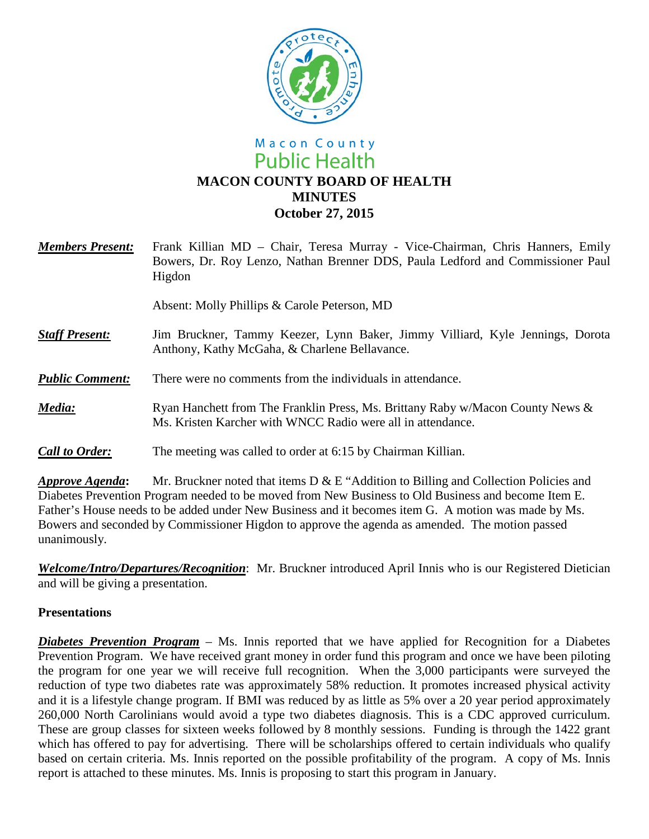

# Macon County **Public Health MACON COUNTY BOARD OF HEALTH MINUTES October 27, 2015**

| <b>Members Present:</b> | Frank Killian MD - Chair, Teresa Murray - Vice-Chairman, Chris Hanners, Emily<br>Bowers, Dr. Roy Lenzo, Nathan Brenner DDS, Paula Ledford and Commissioner Paul<br>Higdon |
|-------------------------|---------------------------------------------------------------------------------------------------------------------------------------------------------------------------|
|                         | Absent: Molly Phillips & Carole Peterson, MD                                                                                                                              |
| <b>Staff Present:</b>   | Jim Bruckner, Tammy Keezer, Lynn Baker, Jimmy Villiard, Kyle Jennings, Dorota<br>Anthony, Kathy McGaha, & Charlene Bellavance.                                            |
| <b>Public Comment:</b>  | There were no comments from the individuals in attendance.                                                                                                                |
| Media:                  | Ryan Hanchett from The Franklin Press, Ms. Brittany Raby w/Macon County News &<br>Ms. Kristen Karcher with WNCC Radio were all in attendance.                             |
| <b>Call to Order:</b>   | The meeting was called to order at 6:15 by Chairman Killian.                                                                                                              |

*Approve Agenda***:** Mr. Bruckner noted that items D & E "Addition to Billing and Collection Policies and Diabetes Prevention Program needed to be moved from New Business to Old Business and become Item E. Father's House needs to be added under New Business and it becomes item G. A motion was made by Ms. Bowers and seconded by Commissioner Higdon to approve the agenda as amended. The motion passed unanimously.

*Welcome/Intro/Departures/Recognition*: Mr. Bruckner introduced April Innis who is our Registered Dietician and will be giving a presentation.

#### **Presentations**

*Diabetes Prevention Program* – Ms. Innis reported that we have applied for Recognition for a Diabetes Prevention Program. We have received grant money in order fund this program and once we have been piloting the program for one year we will receive full recognition. When the 3,000 participants were surveyed the reduction of type two diabetes rate was approximately 58% reduction. It promotes increased physical activity and it is a lifestyle change program. If BMI was reduced by as little as 5% over a 20 year period approximately 260,000 North Carolinians would avoid a type two diabetes diagnosis. This is a CDC approved curriculum. These are group classes for sixteen weeks followed by 8 monthly sessions. Funding is through the 1422 grant which has offered to pay for advertising. There will be scholarships offered to certain individuals who qualify based on certain criteria. Ms. Innis reported on the possible profitability of the program. A copy of Ms. Innis report is attached to these minutes. Ms. Innis is proposing to start this program in January.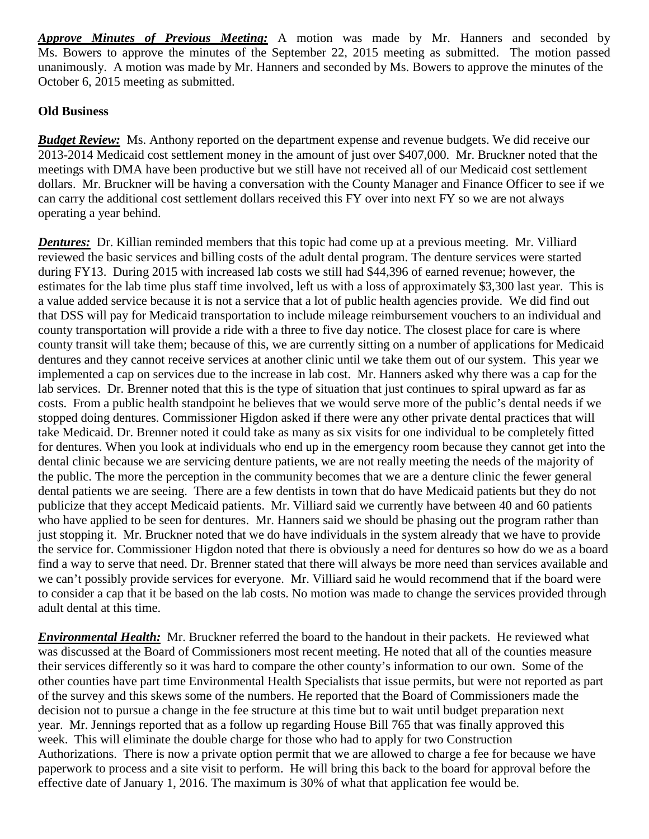*Approve Minutes of Previous Meeting:* A motion was made by Mr. Hanners and seconded by Ms. Bowers to approve the minutes of the September 22, 2015 meeting as submitted. The motion passed unanimously. A motion was made by Mr. Hanners and seconded by Ms. Bowers to approve the minutes of the October 6, 2015 meeting as submitted.

### **Old Business**

**Budget Review:** Ms. Anthony reported on the department expense and revenue budgets. We did receive our 2013-2014 Medicaid cost settlement money in the amount of just over \$407,000. Mr. Bruckner noted that the meetings with DMA have been productive but we still have not received all of our Medicaid cost settlement dollars. Mr. Bruckner will be having a conversation with the County Manager and Finance Officer to see if we can carry the additional cost settlement dollars received this FY over into next FY so we are not always operating a year behind.

*Dentures:* Dr. Killian reminded members that this topic had come up at a previous meeting. Mr. Villiard reviewed the basic services and billing costs of the adult dental program. The denture services were started during FY13. During 2015 with increased lab costs we still had \$44,396 of earned revenue; however, the estimates for the lab time plus staff time involved, left us with a loss of approximately \$3,300 last year. This is a value added service because it is not a service that a lot of public health agencies provide. We did find out that DSS will pay for Medicaid transportation to include mileage reimbursement vouchers to an individual and county transportation will provide a ride with a three to five day notice. The closest place for care is where county transit will take them; because of this, we are currently sitting on a number of applications for Medicaid dentures and they cannot receive services at another clinic until we take them out of our system. This year we implemented a cap on services due to the increase in lab cost. Mr. Hanners asked why there was a cap for the lab services. Dr. Brenner noted that this is the type of situation that just continues to spiral upward as far as costs. From a public health standpoint he believes that we would serve more of the public's dental needs if we stopped doing dentures. Commissioner Higdon asked if there were any other private dental practices that will take Medicaid. Dr. Brenner noted it could take as many as six visits for one individual to be completely fitted for dentures. When you look at individuals who end up in the emergency room because they cannot get into the dental clinic because we are servicing denture patients, we are not really meeting the needs of the majority of the public. The more the perception in the community becomes that we are a denture clinic the fewer general dental patients we are seeing. There are a few dentists in town that do have Medicaid patients but they do not publicize that they accept Medicaid patients. Mr. Villiard said we currently have between 40 and 60 patients who have applied to be seen for dentures. Mr. Hanners said we should be phasing out the program rather than just stopping it. Mr. Bruckner noted that we do have individuals in the system already that we have to provide the service for. Commissioner Higdon noted that there is obviously a need for dentures so how do we as a board find a way to serve that need. Dr. Brenner stated that there will always be more need than services available and we can't possibly provide services for everyone. Mr. Villiard said he would recommend that if the board were to consider a cap that it be based on the lab costs. No motion was made to change the services provided through adult dental at this time.

*Environmental Health:* Mr. Bruckner referred the board to the handout in their packets. He reviewed what was discussed at the Board of Commissioners most recent meeting. He noted that all of the counties measure their services differently so it was hard to compare the other county's information to our own. Some of the other counties have part time Environmental Health Specialists that issue permits, but were not reported as part of the survey and this skews some of the numbers. He reported that the Board of Commissioners made the decision not to pursue a change in the fee structure at this time but to wait until budget preparation next year. Mr. Jennings reported that as a follow up regarding House Bill 765 that was finally approved this week. This will eliminate the double charge for those who had to apply for two Construction Authorizations. There is now a private option permit that we are allowed to charge a fee for because we have paperwork to process and a site visit to perform. He will bring this back to the board for approval before the effective date of January 1, 2016. The maximum is 30% of what that application fee would be.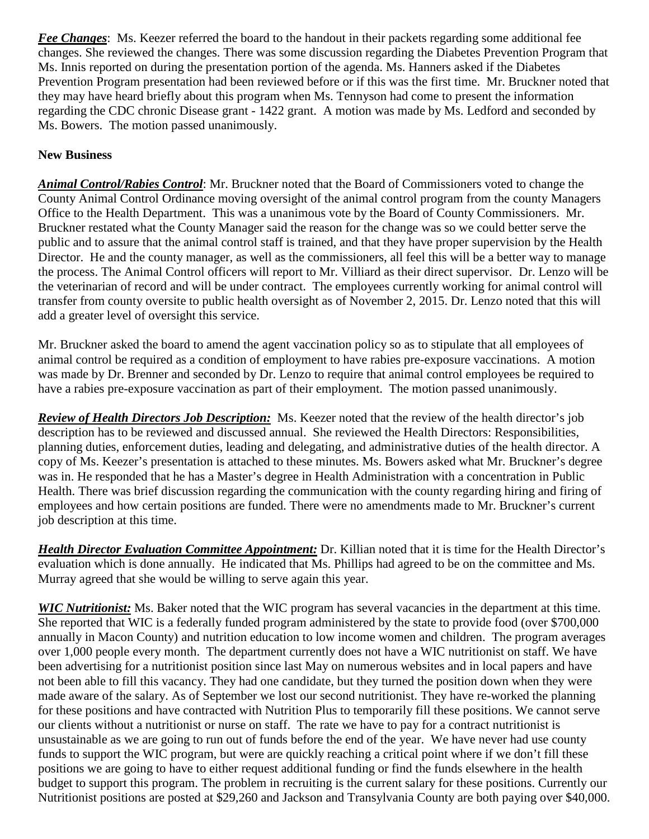*Fee Changes*: Ms. Keezer referred the board to the handout in their packets regarding some additional fee changes. She reviewed the changes. There was some discussion regarding the Diabetes Prevention Program that Ms. Innis reported on during the presentation portion of the agenda. Ms. Hanners asked if the Diabetes Prevention Program presentation had been reviewed before or if this was the first time. Mr. Bruckner noted that they may have heard briefly about this program when Ms. Tennyson had come to present the information regarding the CDC chronic Disease grant - 1422 grant. A motion was made by Ms. Ledford and seconded by Ms. Bowers. The motion passed unanimously.

## **New Business**

*Animal Control/Rabies Control*: Mr. Bruckner noted that the Board of Commissioners voted to change the County Animal Control Ordinance moving oversight of the animal control program from the county Managers Office to the Health Department. This was a unanimous vote by the Board of County Commissioners. Mr. Bruckner restated what the County Manager said the reason for the change was so we could better serve the public and to assure that the animal control staff is trained, and that they have proper supervision by the Health Director. He and the county manager, as well as the commissioners, all feel this will be a better way to manage the process. The Animal Control officers will report to Mr. Villiard as their direct supervisor. Dr. Lenzo will be the veterinarian of record and will be under contract. The employees currently working for animal control will transfer from county oversite to public health oversight as of November 2, 2015. Dr. Lenzo noted that this will add a greater level of oversight this service.

Mr. Bruckner asked the board to amend the agent vaccination policy so as to stipulate that all employees of animal control be required as a condition of employment to have rabies pre-exposure vaccinations. A motion was made by Dr. Brenner and seconded by Dr. Lenzo to require that animal control employees be required to have a rabies pre-exposure vaccination as part of their employment. The motion passed unanimously.

*Review of Health Directors Job Description:* Ms. Keezer noted that the review of the health director's job description has to be reviewed and discussed annual. She reviewed the Health Directors: Responsibilities, planning duties, enforcement duties, leading and delegating, and administrative duties of the health director. A copy of Ms. Keezer's presentation is attached to these minutes. Ms. Bowers asked what Mr. Bruckner's degree was in. He responded that he has a Master's degree in Health Administration with a concentration in Public Health. There was brief discussion regarding the communication with the county regarding hiring and firing of employees and how certain positions are funded. There were no amendments made to Mr. Bruckner's current job description at this time.

*Health Director Evaluation Committee Appointment:* Dr. Killian noted that it is time for the Health Director's evaluation which is done annually. He indicated that Ms. Phillips had agreed to be on the committee and Ms. Murray agreed that she would be willing to serve again this year.

*WIC Nutritionist:* Ms. Baker noted that the WIC program has several vacancies in the department at this time. She reported that WIC is a federally funded program administered by the state to provide food (over \$700,000 annually in Macon County) and nutrition education to low income women and children. The program averages over 1,000 people every month. The department currently does not have a WIC nutritionist on staff. We have been advertising for a nutritionist position since last May on numerous websites and in local papers and have not been able to fill this vacancy. They had one candidate, but they turned the position down when they were made aware of the salary. As of September we lost our second nutritionist. They have re-worked the planning for these positions and have contracted with Nutrition Plus to temporarily fill these positions. We cannot serve our clients without a nutritionist or nurse on staff. The rate we have to pay for a contract nutritionist is unsustainable as we are going to run out of funds before the end of the year. We have never had use county funds to support the WIC program, but were are quickly reaching a critical point where if we don't fill these positions we are going to have to either request additional funding or find the funds elsewhere in the health budget to support this program. The problem in recruiting is the current salary for these positions. Currently our Nutritionist positions are posted at \$29,260 and Jackson and Transylvania County are both paying over \$40,000.